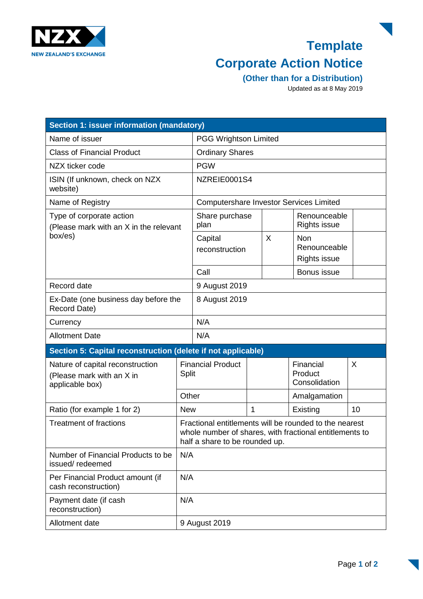

## **Template Corporate Action Notice**

**(Other than for a Distribution)** 

Updated as at 8 May 2019

| Section 1: issuer information (mandatory)                                        |                                                                                                                                                     |                                                |                |   |                                                   |    |
|----------------------------------------------------------------------------------|-----------------------------------------------------------------------------------------------------------------------------------------------------|------------------------------------------------|----------------|---|---------------------------------------------------|----|
| Name of issuer                                                                   |                                                                                                                                                     | <b>PGG Wrightson Limited</b>                   |                |   |                                                   |    |
| <b>Class of Financial Product</b>                                                |                                                                                                                                                     | <b>Ordinary Shares</b>                         |                |   |                                                   |    |
| NZX ticker code                                                                  |                                                                                                                                                     | <b>PGW</b>                                     |                |   |                                                   |    |
| ISIN (If unknown, check on NZX<br>website)                                       |                                                                                                                                                     | NZREIE0001S4                                   |                |   |                                                   |    |
| Name of Registry                                                                 |                                                                                                                                                     | <b>Computershare Investor Services Limited</b> |                |   |                                                   |    |
| Type of corporate action<br>(Please mark with an X in the relevant<br>box/es)    |                                                                                                                                                     | plan                                           | Share purchase |   | Renounceable<br><b>Rights issue</b>               |    |
|                                                                                  |                                                                                                                                                     | Capital<br>reconstruction                      |                | X | <b>Non</b><br>Renounceable<br><b>Rights issue</b> |    |
|                                                                                  |                                                                                                                                                     | Call                                           |                |   | Bonus issue                                       |    |
| Record date                                                                      |                                                                                                                                                     | 9 August 2019                                  |                |   |                                                   |    |
| Ex-Date (one business day before the<br>Record Date)                             |                                                                                                                                                     | 8 August 2019                                  |                |   |                                                   |    |
| Currency                                                                         |                                                                                                                                                     | N/A                                            |                |   |                                                   |    |
| <b>Allotment Date</b>                                                            |                                                                                                                                                     | N/A                                            |                |   |                                                   |    |
| Section 5: Capital reconstruction (delete if not applicable)                     |                                                                                                                                                     |                                                |                |   |                                                   |    |
| Nature of capital reconstruction<br>(Please mark with an X in<br>applicable box) |                                                                                                                                                     | <b>Financial Product</b><br><b>Split</b>       |                |   | Financial<br>Product<br>Consolidation             | X  |
|                                                                                  | Other                                                                                                                                               |                                                |                |   | Amalgamation                                      |    |
| Ratio (for example 1 for 2)                                                      | <b>New</b>                                                                                                                                          |                                                | 1              |   | Existing                                          | 10 |
| <b>Treatment of fractions</b>                                                    | Fractional entitlements will be rounded to the nearest<br>whole number of shares, with fractional entitlements to<br>half a share to be rounded up. |                                                |                |   |                                                   |    |
| Number of Financial Products to be<br>issued/redeemed                            |                                                                                                                                                     | N/A                                            |                |   |                                                   |    |
| Per Financial Product amount (if<br>cash reconstruction)                         |                                                                                                                                                     | N/A                                            |                |   |                                                   |    |
| Payment date (if cash<br>reconstruction)                                         |                                                                                                                                                     | N/A                                            |                |   |                                                   |    |
| Allotment date                                                                   |                                                                                                                                                     | 9 August 2019                                  |                |   |                                                   |    |